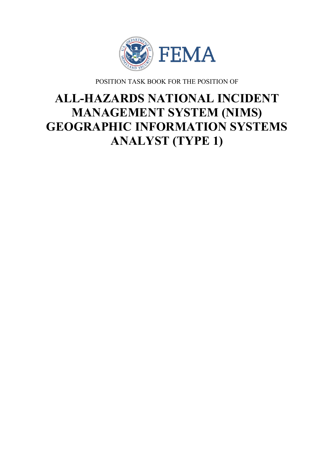

POSITION TASK BOOK FOR THE POSITION OF

# **ALL-HAZARDS NATIONAL INCIDENT MANAGEMENT SYSTEM (NIMS) GEOGRAPHIC INFORMATION SYSTEMS ANALYST (TYPE 1)**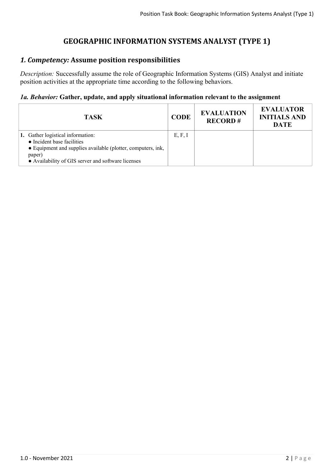# **GEOGRAPHIC INFORMATION SYSTEMS ANALYST (TYPE 1)**

# *1. Competency:* **Assume position responsibilities**

*Description:* Successfully assume the role of Geographic Information Systems (GIS) Analyst and initiate position activities at the appropriate time according to the following behaviors.

## *1a. Behavior:* **Gather, update, and apply situational information relevant to the assignment**

| <b>TASK</b>                                                                                                                                                                                     | <b>CODE</b> | <b>EVALUATION</b><br><b>RECORD#</b> | <b>EVALUATOR</b><br><b>INITIALS AND</b><br><b>DATE</b> |
|-------------------------------------------------------------------------------------------------------------------------------------------------------------------------------------------------|-------------|-------------------------------------|--------------------------------------------------------|
| 1. Gather logistical information:<br>• Incident base facilities<br>• Equipment and supplies available (plotter, computers, ink,<br>paper)<br>• Availability of GIS server and software licenses | E, F, I     |                                     |                                                        |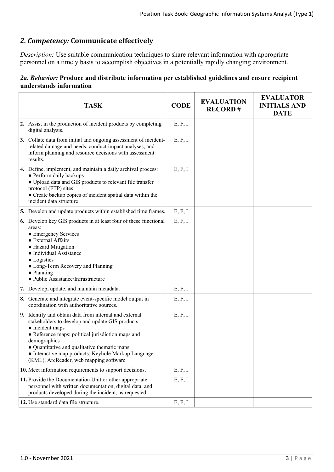## *2. Competency:* **Communicate effectively**

*Description:* Use suitable communication techniques to share relevant information with appropriate personnel on a timely basis to accomplish objectives in a potentially rapidly changing environment.

## *2a. Behavior:* **Produce and distribute information per established guidelines and ensure recipient understands information**

| <b>TASK</b>                                                                                                                                                                                                                                                                                                                                         | <b>CODE</b> | <b>EVALUATION</b><br><b>RECORD#</b> | <b>EVALUATOR</b><br><b>INITIALS AND</b><br><b>DATE</b> |
|-----------------------------------------------------------------------------------------------------------------------------------------------------------------------------------------------------------------------------------------------------------------------------------------------------------------------------------------------------|-------------|-------------------------------------|--------------------------------------------------------|
| 2. Assist in the production of incident products by completing<br>digital analysis.                                                                                                                                                                                                                                                                 | E, F, I     |                                     |                                                        |
| 3. Collate data from initial and ongoing assessment of incident-<br>related damage and needs, conduct impact analyses, and<br>inform planning and resource decisions with assessment<br>results.                                                                                                                                                    | E, F, I     |                                     |                                                        |
| 4. Define, implement, and maintain a daily archival process:<br>• Perform daily backups<br>• Upload data and GIS products to relevant file transfer<br>protocol (FTP) sites<br>• Create backup copies of incident spatial data within the<br>incident data structure                                                                                | E, F, I     |                                     |                                                        |
| 5. Develop and update products within established time frames.                                                                                                                                                                                                                                                                                      | E, F, I     |                                     |                                                        |
| 6. Develop key GIS products in at least four of these functional<br>areas:<br>• Emergency Services<br>• External Affairs<br>• Hazard Mitigation<br>• Individual Assistance<br>• Logistics<br>• Long-Term Recovery and Planning<br>$\bullet$ Planning<br>• Public Assistance/Infrastructure                                                          | E, F, I     |                                     |                                                        |
| 7. Develop, update, and maintain metadata.                                                                                                                                                                                                                                                                                                          | E, F, I     |                                     |                                                        |
| 8. Generate and integrate event-specific model output in<br>coordination with authoritative sources.                                                                                                                                                                                                                                                | E, F, I     |                                     |                                                        |
| 9. Identify and obtain data from internal and external<br>stakeholders to develop and update GIS products:<br>• Incident maps<br>• Reference maps: political jurisdiction maps and<br>demographics<br>• Quantitative and qualitative thematic maps<br>• Interactive map products: Keyhole Markup Language<br>(KML), ArcReader, web mapping software | E, F, I     |                                     |                                                        |
| 10. Meet information requirements to support decisions.                                                                                                                                                                                                                                                                                             | E, F, I     |                                     |                                                        |
| 11. Provide the Documentation Unit or other appropriate<br>personnel with written documentation, digital data, and<br>products developed during the incident, as requested.                                                                                                                                                                         | E, F, I     |                                     |                                                        |
| 12. Use standard data file structure.                                                                                                                                                                                                                                                                                                               | E, F, I     |                                     |                                                        |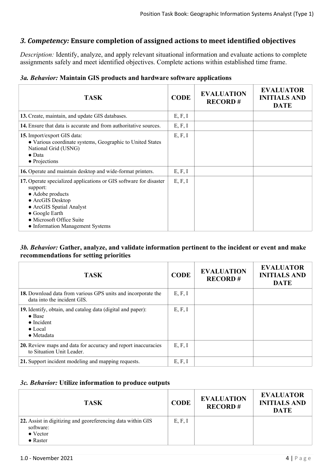## *3. Competency:* **Ensure completion of assigned actions to meet identified objectives**

*Description:* Identify, analyze, and apply relevant situational information and evaluate actions to complete assignments safely and meet identified objectives. Complete actions within established time frame.

|  |  |  |  | 3a. Behavior: Maintain GIS products and hardware software applications |  |  |  |
|--|--|--|--|------------------------------------------------------------------------|--|--|--|
|--|--|--|--|------------------------------------------------------------------------|--|--|--|

| <b>TASK</b>                                                                                                                                                                                                                                 | <b>CODE</b> | <b>EVALUATION</b><br><b>RECORD#</b> | <b>EVALUATOR</b><br><b>INITIALS AND</b><br><b>DATE</b> |
|---------------------------------------------------------------------------------------------------------------------------------------------------------------------------------------------------------------------------------------------|-------------|-------------------------------------|--------------------------------------------------------|
| 13. Create, maintain, and update GIS databases.                                                                                                                                                                                             | E, F, I     |                                     |                                                        |
| <b>14.</b> Ensure that data is accurate and from authoritative sources.                                                                                                                                                                     | E, F, I     |                                     |                                                        |
| 15. Import/export GIS data:<br>• Various coordinate systems, Geographic to United States<br>National Grid (USNG)<br>$\bullet$ Data<br>• Projections                                                                                         | E, F, I     |                                     |                                                        |
| 16. Operate and maintain desktop and wide-format printers.                                                                                                                                                                                  | E, F, I     |                                     |                                                        |
| 17. Operate specialized applications or GIS software for disaster<br>support:<br>• Adobe products<br>• ArcGIS Desktop<br>• ArcGIS Spatial Analyst<br>$\bullet$ Google Earth<br>• Microsoft Office Suite<br>• Information Management Systems | E, F, I     |                                     |                                                        |

#### *3b. Behavior:* **Gather, analyze, and validate information pertinent to the incident or event and make recommendations for setting priorities**

| <b>TASK</b>                                                                                                                                  | <b>CODE</b> | <b>EVALUATION</b><br><b>RECORD#</b> | <b>EVALUATOR</b><br><b>INITIALS AND</b><br><b>DATE</b> |
|----------------------------------------------------------------------------------------------------------------------------------------------|-------------|-------------------------------------|--------------------------------------------------------|
| 18. Download data from various GPS units and incorporate the<br>data into the incident GIS.                                                  | E, F, I     |                                     |                                                        |
| 19. Identify, obtain, and catalog data (digital and paper):<br>$\bullet$ Base<br>$\bullet$ Incident<br>$\bullet$ Local<br>$\bullet$ Metadata | E, F, I     |                                     |                                                        |
| 20. Review maps and data for accuracy and report inaccuracies<br>to Situation Unit Leader.                                                   | E, F, I     |                                     |                                                        |
| 21. Support incident modeling and mapping requests.                                                                                          | E, F, I     |                                     |                                                        |

### *3c. Behavior:* **Utilize information to produce outputs**

| <b>TASK</b>                                                                                                      | <b>CODE</b> | <b>EVALUATION</b><br><b>RECORD#</b> | <b>EVALUATOR</b><br><b>INITIALS AND</b><br><b>DATE</b> |
|------------------------------------------------------------------------------------------------------------------|-------------|-------------------------------------|--------------------------------------------------------|
| 22. Assist in digitizing and georeferencing data within GIS<br>software:<br>$\bullet$ Vector<br>$\bullet$ Raster | E, F, I     |                                     |                                                        |